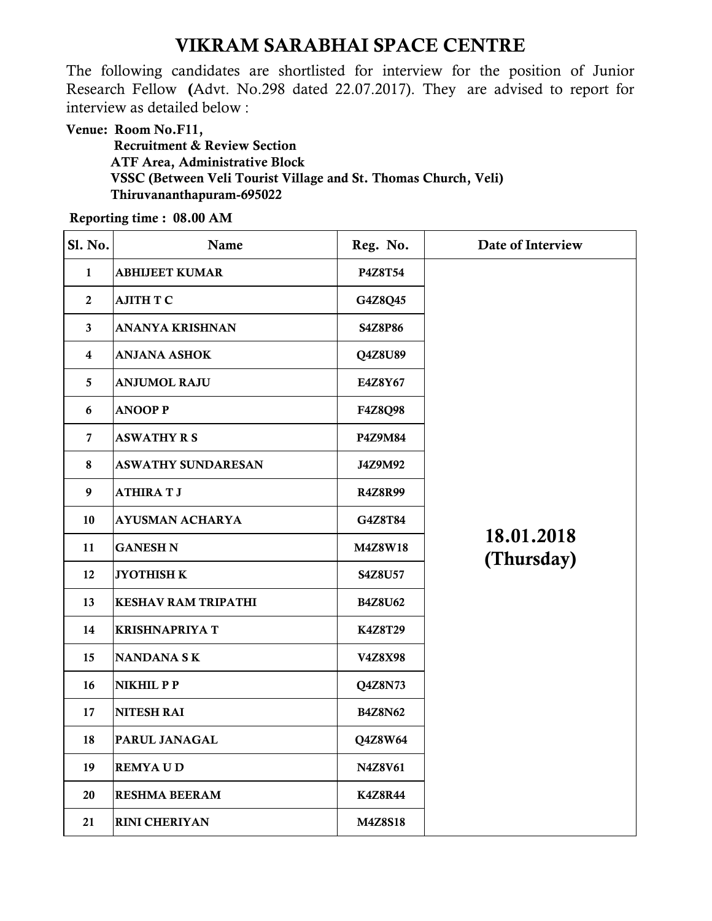## VIKRAM SARABHAI SPACE CENTRE

The following candidates are shortlisted for interview for the position of Junior Research Fellow (Advt. No.298 dated 22.07.2017). They are advised to report for interview as detailed below :

Venue: Room No.F11, Recruitment & Review Section ATF Area, Administrative Block VSSC (Between Veli Tourist Village and St. Thomas Church, Veli) Thiruvananthapuram-695022

Reporting time : 08.00 AM

| Sl. No.          | Name                       | Reg. No.       | Date of Interview        |
|------------------|----------------------------|----------------|--------------------------|
| $\mathbf{1}$     | <b>ABHIJEET KUMAR</b>      | <b>P4Z8T54</b> |                          |
| $\boldsymbol{2}$ | AJITH T C                  | G4Z8Q45        |                          |
| $\mathbf{3}$     | ANANYA KRISHNAN            | S4Z8P86        |                          |
| $\boldsymbol{4}$ | <b>ANJANA ASHOK</b>        | Q4Z8U89        |                          |
| 5                | <b>ANJUMOL RAJU</b>        | E4Z8Y67        |                          |
| 6                | <b>ANOOP P</b>             | <b>F4Z8Q98</b> |                          |
| $\overline{7}$   | <b>ASWATHY R S</b>         | P4Z9M84        |                          |
| 8                | <b>ASWATHY SUNDARESAN</b>  | J4Z9M92        |                          |
| $\boldsymbol{9}$ | <b>ATHIRATJ</b>            | <b>R4Z8R99</b> |                          |
| 10               | <b>AYUSMAN ACHARYA</b>     | G4Z8T84        |                          |
| 11               | <b>GANESH N</b>            | <b>M4Z8W18</b> | 18.01.2018<br>(Thursday) |
| 12               | <b>JYOTHISH K</b>          | <b>S4Z8U57</b> |                          |
| 13               | <b>KESHAV RAM TRIPATHI</b> | <b>B4Z8U62</b> |                          |
| 14               | <b>KRISHNAPRIYA T</b>      | K4Z8T29        |                          |
| 15               | <b>NANDANA SK</b>          | V4Z8X98        |                          |
| 16               | NIKHIL PP                  | Q4Z8N73        |                          |
| 17               | <b>NITESH RAI</b>          | <b>B4Z8N62</b> |                          |
| 18               | PARUL JANAGAL              | Q4Z8W64        |                          |
| 19               | <b>REMYAUD</b>             | N4Z8V61        |                          |
| 20               | <b>RESHMA BEERAM</b>       | <b>K4Z8R44</b> |                          |
| 21               | <b>RINI CHERIYAN</b>       | M4Z8S18        |                          |